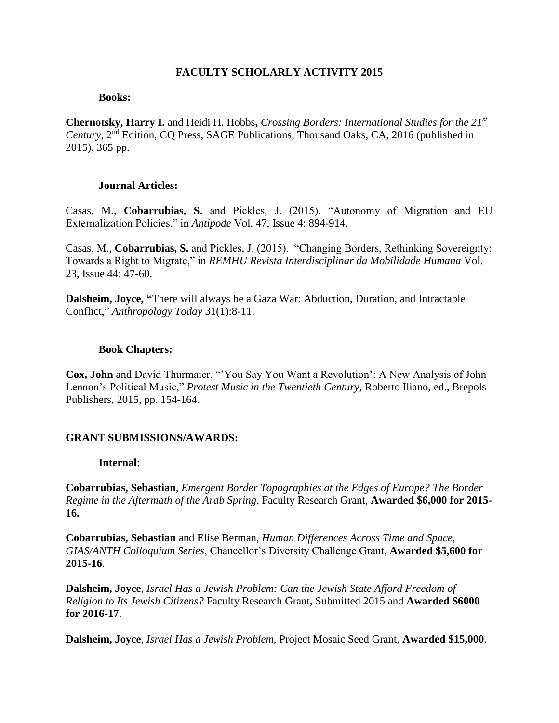### **FACULTY SCHOLARLY ACTIVITY 2015**

#### **Books:**

**Chernotsky, Harry I.** and Heidi H. Hobbs**,** *Crossing Borders: International Studies for the 21st* Century, 2<sup>nd</sup> Edition, CQ Press, SAGE Publications, Thousand Oaks, CA, 2016 (published in 2015), 365 pp.

#### **Journal Articles:**

Casas, M., **Cobarrubias, S.** and Pickles, J. (2015). "Autonomy of Migration and EU Externalization Policies," in *Antipode* Vol. 47, Issue 4: 894-914.

Casas, M., **Cobarrubias, S.** and Pickles, J. (2015). "Changing Borders, Rethinking Sovereignty: Towards a Right to Migrate," in *REMHU Revista Interdisciplinar da Mobilidade Humana* Vol. 23, Issue 44: 47-60.

**Dalsheim, Joyce, "**There will always be a Gaza War: Abduction, Duration, and Intractable Conflict," *Anthropology Today* 31(1):8-11.

#### **Book Chapters:**

**Cox, John** and David Thurmaier, "'You Say You Want a Revolution': A New Analysis of John Lennon's Political Music," *Protest Music in the Twentieth Century,* Roberto Iliano, ed., Brepols Publishers, 2015, pp. 154-164.

### **GRANT SUBMISSIONS/AWARDS:**

#### **Internal**:

**Cobarrubias, Sebastian**, *Emergent Border Topographies at the Edges of Europe? The Border Regime in the Aftermath of the Arab Spring*, Faculty Research Grant, **Awarded \$6,000 for 2015- 16.**

**Cobarrubias, Sebastian** and Elise Berman, *Human Differences Across Time and Space, GIAS/ANTH Colloquium Series*, Chancellor's Diversity Challenge Grant, **Awarded \$5,600 for 2015-16**.

**Dalsheim, Joyce**, *Israel Has a Jewish Problem: Can the Jewish State Afford Freedom of Religion to Its Jewish Citizens?* Faculty Research Grant, Submitted 2015 and **Awarded \$6000 for 2016-17**.

**Dalsheim, Joyce**, *Israel Has a Jewish Problem*, Project Mosaic Seed Grant, **Awarded \$15,000**.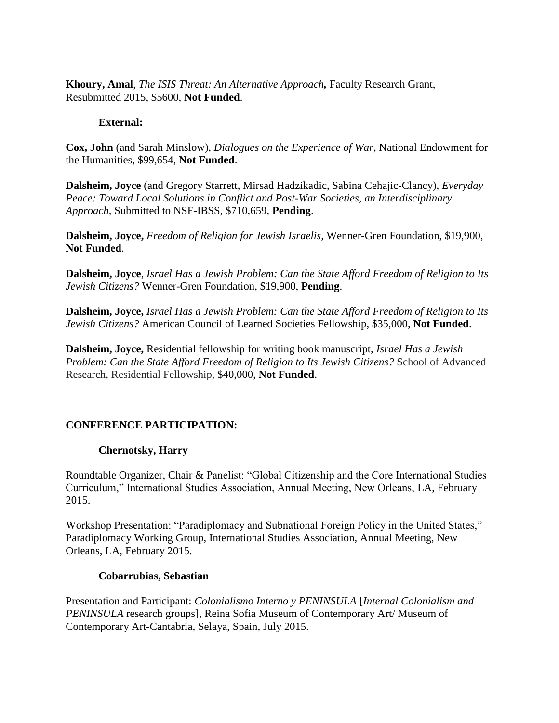**Khoury, Amal**, *The ISIS Threat: An Alternative Approach,* Faculty Research Grant, Resubmitted 2015, \$5600, **Not Funded**.

### **External:**

**Cox, John** (and Sarah Minslow), *Dialogues on the Experience of War,* National Endowment for the Humanities, \$99,654, **Not Funded**.

**Dalsheim, Joyce** (and Gregory Starrett, Mirsad Hadzikadic, Sabina Cehajic-Clancy), *Everyday Peace: Toward Local Solutions in Conflict and Post-War Societies, an Interdisciplinary Approach,* Submitted to NSF-IBSS, \$710,659, **Pending**.

**Dalsheim, Joyce,** *Freedom of Religion for Jewish Israelis,* Wenner-Gren Foundation, \$19,900, **Not Funded**.

**Dalsheim, Joyce**, *Israel Has a Jewish Problem: Can the State Afford Freedom of Religion to Its Jewish Citizens?* Wenner-Gren Foundation, \$19,900, **Pending**.

**Dalsheim, Joyce,** *Israel Has a Jewish Problem: Can the State Afford Freedom of Religion to Its Jewish Citizens?* American Council of Learned Societies Fellowship, \$35,000, **Not Funded**.

**Dalsheim, Joyce,** Residential fellowship for writing book manuscript, *Israel Has a Jewish Problem: Can the State Afford Freedom of Religion to Its Jewish Citizens?* School of Advanced Research, Residential Fellowship, \$40,000, **Not Funded**.

# **CONFERENCE PARTICIPATION:**

# **Chernotsky, Harry**

Roundtable Organizer, Chair & Panelist: "Global Citizenship and the Core International Studies Curriculum," International Studies Association, Annual Meeting, New Orleans, LA, February 2015.

Workshop Presentation: "Paradiplomacy and Subnational Foreign Policy in the United States," Paradiplomacy Working Group, International Studies Association, Annual Meeting, New Orleans, LA, February 2015.

### **Cobarrubias, Sebastian**

Presentation and Participant: *Colonialismo Interno y PENINSULA* [*Internal Colonialism and PENINSULA* research groups], Reina Sofia Museum of Contemporary Art/ Museum of Contemporary Art-Cantabria, Selaya, Spain, July 2015.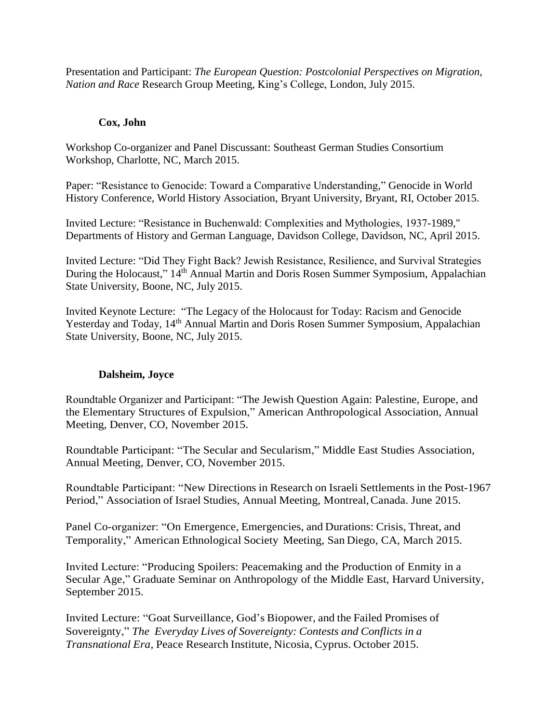Presentation and Participant: *The European Question: Postcolonial Perspectives on Migration, Nation and Race* Research Group Meeting, King's College, London, July 2015.

# **Cox, John**

Workshop Co-organizer and Panel Discussant: Southeast German Studies Consortium Workshop, Charlotte, NC, March 2015.

Paper: "Resistance to Genocide: Toward a Comparative Understanding," Genocide in World History Conference, World History Association, Bryant University, Bryant, RI, October 2015.

Invited Lecture: "Resistance in Buchenwald: Complexities and Mythologies, 1937-1989," Departments of History and German Language, Davidson College, Davidson, NC, April 2015.

Invited Lecture: "Did They Fight Back? Jewish Resistance, Resilience, and Survival Strategies During the Holocaust," 14<sup>th</sup> Annual Martin and Doris Rosen Summer Symposium, Appalachian State University, Boone, NC, July 2015.

Invited Keynote Lecture: "The Legacy of the Holocaust for Today: Racism and Genocide Yesterday and Today, 14<sup>th</sup> Annual Martin and Doris Rosen Summer Symposium, Appalachian State University, Boone, NC, July 2015.

# **Dalsheim, Joyce**

Roundtable Organizer and Participant: "The Jewish Question Again: Palestine, Europe, and the Elementary Structures of Expulsion," American Anthropological Association, Annual Meeting, Denver, CO, November 2015.

Roundtable Participant: "The Secular and Secularism," Middle East Studies Association, Annual Meeting, Denver, CO, November 2015.

Roundtable Participant: "New Directions in Research on Israeli Settlements in the Post-1967 Period," Association of Israel Studies, Annual Meeting, Montreal,Canada. June 2015.

Panel Co-organizer: "On Emergence, Emergencies, and Durations: Crisis, Threat, and Temporality," American Ethnological Society Meeting, San Diego, CA, March 2015.

Invited Lecture: "Producing Spoilers: Peacemaking and the Production of Enmity in a Secular Age," Graduate Seminar on Anthropology of the Middle East, Harvard University, September 2015.

Invited Lecture: "Goat Surveillance, God's Biopower, and the Failed Promises of Sovereignty," *The Everyday Lives of Sovereignty: Contests and Conflicts in a Transnational Era,* Peace Research Institute, Nicosia, Cyprus. October 2015.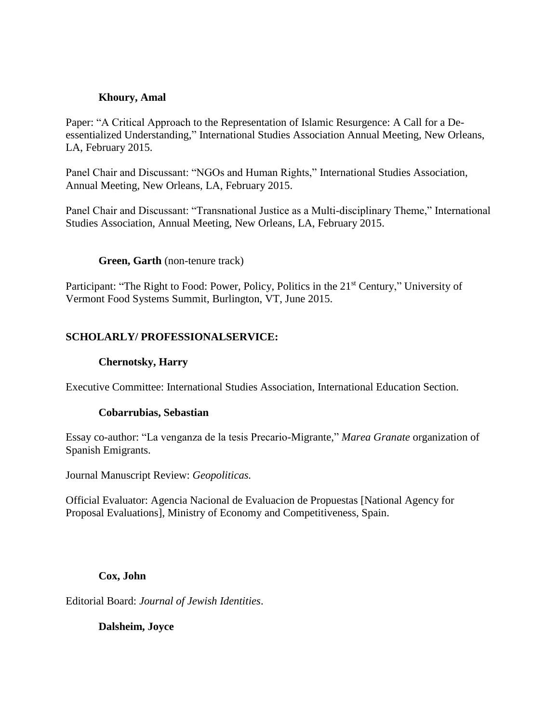### **Khoury, Amal**

Paper: "A Critical Approach to the Representation of Islamic Resurgence: A Call for a Deessentialized Understanding," International Studies Association Annual Meeting, New Orleans, LA, February 2015.

Panel Chair and Discussant: "NGOs and Human Rights," International Studies Association, Annual Meeting, New Orleans, LA, February 2015.

Panel Chair and Discussant: "Transnational Justice as a Multi-disciplinary Theme," International Studies Association, Annual Meeting, New Orleans, LA, February 2015.

### **Green, Garth** (non-tenure track)

Participant: "The Right to Food: Power, Policy, Politics in the 21<sup>st</sup> Century," University of Vermont Food Systems Summit, Burlington, VT, June 2015.

### **SCHOLARLY/ PROFESSIONALSERVICE:**

### **Chernotsky, Harry**

Executive Committee: International Studies Association, International Education Section.

### **Cobarrubias, Sebastian**

Essay co-author: "La venganza de la tesis Precario-Migrante," *Marea Granate* organization of Spanish Emigrants.

Journal Manuscript Review: *Geopoliticas.*

Official Evaluator: Agencia Nacional de Evaluacion de Propuestas [National Agency for Proposal Evaluations], Ministry of Economy and Competitiveness, Spain.

**Cox, John**

Editorial Board: *Journal of Jewish Identities*.

**Dalsheim, Joyce**